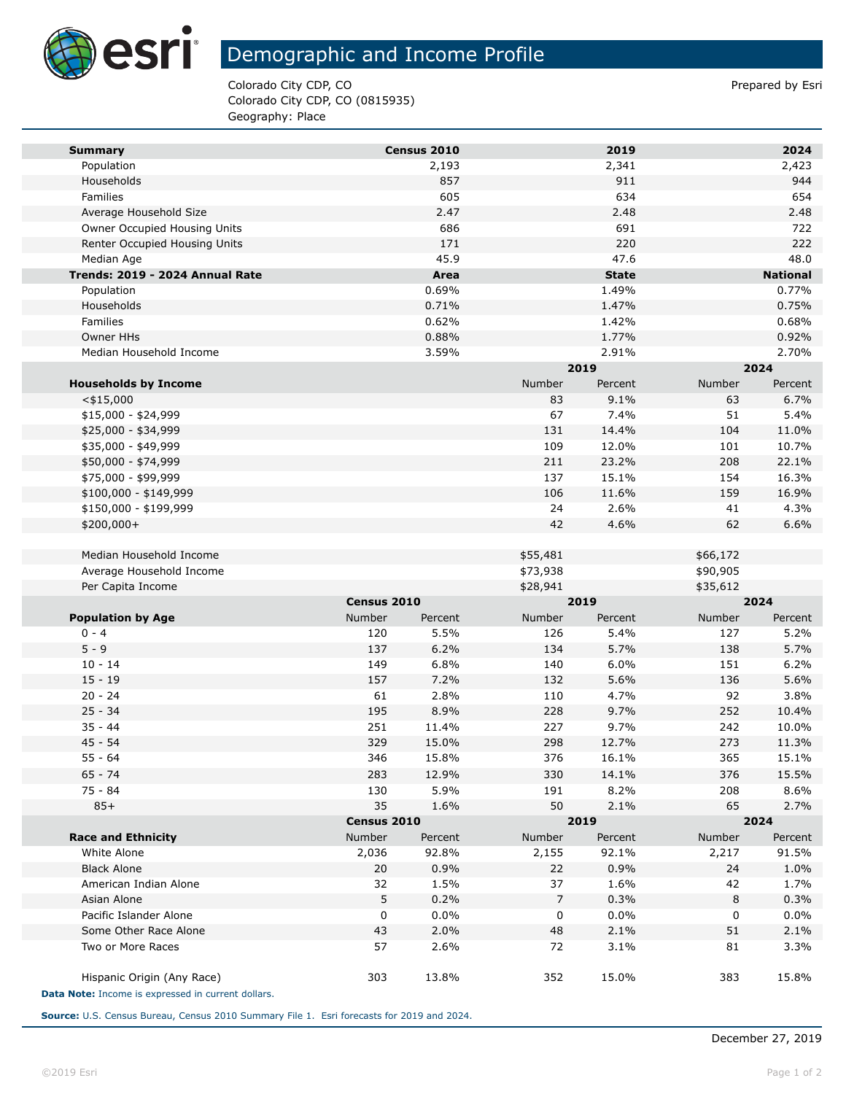

**Tara** 

## Demographic and Income Profile

Colorado City CDP, CO **Prepared by Estimate 2** Colorado City CDP, CO Colorado City CDP, CO (0815935) Geography: Place

| Census 2010<br>2,193<br>2,341<br>2,423<br>Population<br>857<br>911<br>944<br>Households<br>605<br>634<br>654<br>Families<br>2.47<br>Average Household Size<br>2.48<br>2.48<br>686<br>691<br>722<br>Owner Occupied Housing Units<br>220<br>222<br>Renter Occupied Housing Units<br>171<br>45.9<br>47.6<br>48.0<br>Median Age<br>Trends: 2019 - 2024 Annual Rate<br>Area<br><b>State</b><br><b>National</b><br>0.77%<br>0.69%<br>1.49%<br>Population<br>0.71%<br>1.47%<br>0.75%<br>Households<br>0.62%<br>0.68%<br>Families<br>1.42%<br>1.77%<br>0.92%<br>Owner HHs<br>0.88%<br>Median Household Income<br>3.59%<br>2.91%<br>2.70%<br>2019<br>2024<br>Number<br><b>Households by Income</b><br>Number<br>Percent<br>Percent<br>9.1%<br>83<br>63<br>6.7%<br>$<$ \$15,000<br>67<br>7.4%<br>51<br>5.4%<br>$$15,000 - $24,999$<br>131<br>11.0%<br>\$25,000 - \$34,999<br>14.4%<br>104<br>12.0%<br>101<br>10.7%<br>\$35,000 - \$49,999<br>109<br>211<br>23.2%<br>208<br>22.1%<br>\$50,000 - \$74,999<br>\$75,000 - \$99,999<br>137<br>15.1%<br>154<br>16.3%<br>106<br>16.9%<br>\$100,000 - \$149,999<br>11.6%<br>159<br>24<br>2.6%<br>41<br>4.3%<br>\$150,000 - \$199,999<br>42<br>4.6%<br>\$200,000+<br>62<br>6.6%<br>Median Household Income<br>\$55,481<br>\$66,172<br>Average Household Income<br>\$73,938<br>\$90,905<br>Per Capita Income<br>\$28,941<br>\$35,612<br>Census 2010<br>2019<br>2024<br><b>Population by Age</b><br>Number<br>Number<br>Number<br>Percent<br>Percent<br>Percent<br>5.5%<br>5.2%<br>$0 - 4$<br>120<br>126<br>5.4%<br>127<br>$5 - 9$<br>137<br>6.2%<br>5.7%<br>5.7%<br>134<br>138<br>6.0%<br>6.2%<br>$10 - 14$<br>149<br>6.8%<br>140<br>151<br>$15 - 19$<br>157<br>7.2%<br>5.6%<br>136<br>5.6%<br>132<br>$20 - 24$<br>2.8%<br>4.7%<br>92<br>3.8%<br>61<br>110<br>$25 - 34$<br>195<br>8.9%<br>9.7%<br>252<br>228<br>10.4%<br>$35 - 44$<br>251<br>227<br>9.7%<br>10.0%<br>11.4%<br>242<br>45 - 54<br>329<br>15.0%<br>298<br>12.7%<br>273<br>11.3%<br>55 - 64<br>346<br>15.8%<br>376<br>16.1%<br>365<br>15.1%<br>283<br>$65 - 74$<br>12.9%<br>330<br>14.1%<br>376<br>15.5%<br>75 - 84<br>130<br>5.9%<br>191<br>8.2%<br>208<br>8.6%<br>$85+$<br>35<br>50<br>65<br>2.7%<br>1.6%<br>2.1%<br>2024<br>Census 2010<br>2019<br><b>Race and Ethnicity</b><br>Number<br>Percent<br>Number<br>Percent<br>Number<br>Percent<br>White Alone<br>2,036<br>92.8%<br>2,155<br>92.1%<br>91.5%<br>2,217<br>20<br>0.9%<br>0.9%<br>1.0%<br><b>Black Alone</b><br>22<br>24<br>American Indian Alone<br>32<br>1.5%<br>37<br>1.6%<br>42<br>1.7%<br>5<br>0.2%<br>7<br>0.3%<br>8<br>0.3%<br>Asian Alone<br>0.0%<br>0.0%<br>0.0%<br>Pacific Islander Alone<br>0<br>0<br>0<br>2.1%<br>2.1%<br>Some Other Race Alone<br>43<br>2.0%<br>48<br>51<br>3.1%<br>Two or More Races<br>57<br>2.6%<br>72<br>81<br>3.3%<br>303<br>13.8%<br>15.0%<br>383<br>15.8%<br>Hispanic Origin (Any Race)<br>352 |                                                    |  |  |      |  |      |  |
|---------------------------------------------------------------------------------------------------------------------------------------------------------------------------------------------------------------------------------------------------------------------------------------------------------------------------------------------------------------------------------------------------------------------------------------------------------------------------------------------------------------------------------------------------------------------------------------------------------------------------------------------------------------------------------------------------------------------------------------------------------------------------------------------------------------------------------------------------------------------------------------------------------------------------------------------------------------------------------------------------------------------------------------------------------------------------------------------------------------------------------------------------------------------------------------------------------------------------------------------------------------------------------------------------------------------------------------------------------------------------------------------------------------------------------------------------------------------------------------------------------------------------------------------------------------------------------------------------------------------------------------------------------------------------------------------------------------------------------------------------------------------------------------------------------------------------------------------------------------------------------------------------------------------------------------------------------------------------------------------------------------------------------------------------------------------------------------------------------------------------------------------------------------------------------------------------------------------------------------------------------------------------------------------------------------------------------------------------------------------------------------------------------------------------------------------------------------------------------------------------------------------------------------------------------------------------------------------------------------------------------------------------------------------------------------------------------------------------------------------------------------------------------------------------------------------------------------------------------------------------------------|----------------------------------------------------|--|--|------|--|------|--|
|                                                                                                                                                                                                                                                                                                                                                                                                                                                                                                                                                                                                                                                                                                                                                                                                                                                                                                                                                                                                                                                                                                                                                                                                                                                                                                                                                                                                                                                                                                                                                                                                                                                                                                                                                                                                                                                                                                                                                                                                                                                                                                                                                                                                                                                                                                                                                                                                                                                                                                                                                                                                                                                                                                                                                                                                                                                                                       | <b>Summary</b>                                     |  |  | 2019 |  | 2024 |  |
|                                                                                                                                                                                                                                                                                                                                                                                                                                                                                                                                                                                                                                                                                                                                                                                                                                                                                                                                                                                                                                                                                                                                                                                                                                                                                                                                                                                                                                                                                                                                                                                                                                                                                                                                                                                                                                                                                                                                                                                                                                                                                                                                                                                                                                                                                                                                                                                                                                                                                                                                                                                                                                                                                                                                                                                                                                                                                       |                                                    |  |  |      |  |      |  |
|                                                                                                                                                                                                                                                                                                                                                                                                                                                                                                                                                                                                                                                                                                                                                                                                                                                                                                                                                                                                                                                                                                                                                                                                                                                                                                                                                                                                                                                                                                                                                                                                                                                                                                                                                                                                                                                                                                                                                                                                                                                                                                                                                                                                                                                                                                                                                                                                                                                                                                                                                                                                                                                                                                                                                                                                                                                                                       |                                                    |  |  |      |  |      |  |
|                                                                                                                                                                                                                                                                                                                                                                                                                                                                                                                                                                                                                                                                                                                                                                                                                                                                                                                                                                                                                                                                                                                                                                                                                                                                                                                                                                                                                                                                                                                                                                                                                                                                                                                                                                                                                                                                                                                                                                                                                                                                                                                                                                                                                                                                                                                                                                                                                                                                                                                                                                                                                                                                                                                                                                                                                                                                                       |                                                    |  |  |      |  |      |  |
|                                                                                                                                                                                                                                                                                                                                                                                                                                                                                                                                                                                                                                                                                                                                                                                                                                                                                                                                                                                                                                                                                                                                                                                                                                                                                                                                                                                                                                                                                                                                                                                                                                                                                                                                                                                                                                                                                                                                                                                                                                                                                                                                                                                                                                                                                                                                                                                                                                                                                                                                                                                                                                                                                                                                                                                                                                                                                       |                                                    |  |  |      |  |      |  |
|                                                                                                                                                                                                                                                                                                                                                                                                                                                                                                                                                                                                                                                                                                                                                                                                                                                                                                                                                                                                                                                                                                                                                                                                                                                                                                                                                                                                                                                                                                                                                                                                                                                                                                                                                                                                                                                                                                                                                                                                                                                                                                                                                                                                                                                                                                                                                                                                                                                                                                                                                                                                                                                                                                                                                                                                                                                                                       |                                                    |  |  |      |  |      |  |
|                                                                                                                                                                                                                                                                                                                                                                                                                                                                                                                                                                                                                                                                                                                                                                                                                                                                                                                                                                                                                                                                                                                                                                                                                                                                                                                                                                                                                                                                                                                                                                                                                                                                                                                                                                                                                                                                                                                                                                                                                                                                                                                                                                                                                                                                                                                                                                                                                                                                                                                                                                                                                                                                                                                                                                                                                                                                                       |                                                    |  |  |      |  |      |  |
|                                                                                                                                                                                                                                                                                                                                                                                                                                                                                                                                                                                                                                                                                                                                                                                                                                                                                                                                                                                                                                                                                                                                                                                                                                                                                                                                                                                                                                                                                                                                                                                                                                                                                                                                                                                                                                                                                                                                                                                                                                                                                                                                                                                                                                                                                                                                                                                                                                                                                                                                                                                                                                                                                                                                                                                                                                                                                       |                                                    |  |  |      |  |      |  |
|                                                                                                                                                                                                                                                                                                                                                                                                                                                                                                                                                                                                                                                                                                                                                                                                                                                                                                                                                                                                                                                                                                                                                                                                                                                                                                                                                                                                                                                                                                                                                                                                                                                                                                                                                                                                                                                                                                                                                                                                                                                                                                                                                                                                                                                                                                                                                                                                                                                                                                                                                                                                                                                                                                                                                                                                                                                                                       |                                                    |  |  |      |  |      |  |
|                                                                                                                                                                                                                                                                                                                                                                                                                                                                                                                                                                                                                                                                                                                                                                                                                                                                                                                                                                                                                                                                                                                                                                                                                                                                                                                                                                                                                                                                                                                                                                                                                                                                                                                                                                                                                                                                                                                                                                                                                                                                                                                                                                                                                                                                                                                                                                                                                                                                                                                                                                                                                                                                                                                                                                                                                                                                                       |                                                    |  |  |      |  |      |  |
|                                                                                                                                                                                                                                                                                                                                                                                                                                                                                                                                                                                                                                                                                                                                                                                                                                                                                                                                                                                                                                                                                                                                                                                                                                                                                                                                                                                                                                                                                                                                                                                                                                                                                                                                                                                                                                                                                                                                                                                                                                                                                                                                                                                                                                                                                                                                                                                                                                                                                                                                                                                                                                                                                                                                                                                                                                                                                       |                                                    |  |  |      |  |      |  |
|                                                                                                                                                                                                                                                                                                                                                                                                                                                                                                                                                                                                                                                                                                                                                                                                                                                                                                                                                                                                                                                                                                                                                                                                                                                                                                                                                                                                                                                                                                                                                                                                                                                                                                                                                                                                                                                                                                                                                                                                                                                                                                                                                                                                                                                                                                                                                                                                                                                                                                                                                                                                                                                                                                                                                                                                                                                                                       |                                                    |  |  |      |  |      |  |
|                                                                                                                                                                                                                                                                                                                                                                                                                                                                                                                                                                                                                                                                                                                                                                                                                                                                                                                                                                                                                                                                                                                                                                                                                                                                                                                                                                                                                                                                                                                                                                                                                                                                                                                                                                                                                                                                                                                                                                                                                                                                                                                                                                                                                                                                                                                                                                                                                                                                                                                                                                                                                                                                                                                                                                                                                                                                                       |                                                    |  |  |      |  |      |  |
|                                                                                                                                                                                                                                                                                                                                                                                                                                                                                                                                                                                                                                                                                                                                                                                                                                                                                                                                                                                                                                                                                                                                                                                                                                                                                                                                                                                                                                                                                                                                                                                                                                                                                                                                                                                                                                                                                                                                                                                                                                                                                                                                                                                                                                                                                                                                                                                                                                                                                                                                                                                                                                                                                                                                                                                                                                                                                       |                                                    |  |  |      |  |      |  |
|                                                                                                                                                                                                                                                                                                                                                                                                                                                                                                                                                                                                                                                                                                                                                                                                                                                                                                                                                                                                                                                                                                                                                                                                                                                                                                                                                                                                                                                                                                                                                                                                                                                                                                                                                                                                                                                                                                                                                                                                                                                                                                                                                                                                                                                                                                                                                                                                                                                                                                                                                                                                                                                                                                                                                                                                                                                                                       |                                                    |  |  |      |  |      |  |
|                                                                                                                                                                                                                                                                                                                                                                                                                                                                                                                                                                                                                                                                                                                                                                                                                                                                                                                                                                                                                                                                                                                                                                                                                                                                                                                                                                                                                                                                                                                                                                                                                                                                                                                                                                                                                                                                                                                                                                                                                                                                                                                                                                                                                                                                                                                                                                                                                                                                                                                                                                                                                                                                                                                                                                                                                                                                                       |                                                    |  |  |      |  |      |  |
|                                                                                                                                                                                                                                                                                                                                                                                                                                                                                                                                                                                                                                                                                                                                                                                                                                                                                                                                                                                                                                                                                                                                                                                                                                                                                                                                                                                                                                                                                                                                                                                                                                                                                                                                                                                                                                                                                                                                                                                                                                                                                                                                                                                                                                                                                                                                                                                                                                                                                                                                                                                                                                                                                                                                                                                                                                                                                       |                                                    |  |  |      |  |      |  |
|                                                                                                                                                                                                                                                                                                                                                                                                                                                                                                                                                                                                                                                                                                                                                                                                                                                                                                                                                                                                                                                                                                                                                                                                                                                                                                                                                                                                                                                                                                                                                                                                                                                                                                                                                                                                                                                                                                                                                                                                                                                                                                                                                                                                                                                                                                                                                                                                                                                                                                                                                                                                                                                                                                                                                                                                                                                                                       |                                                    |  |  |      |  |      |  |
|                                                                                                                                                                                                                                                                                                                                                                                                                                                                                                                                                                                                                                                                                                                                                                                                                                                                                                                                                                                                                                                                                                                                                                                                                                                                                                                                                                                                                                                                                                                                                                                                                                                                                                                                                                                                                                                                                                                                                                                                                                                                                                                                                                                                                                                                                                                                                                                                                                                                                                                                                                                                                                                                                                                                                                                                                                                                                       |                                                    |  |  |      |  |      |  |
|                                                                                                                                                                                                                                                                                                                                                                                                                                                                                                                                                                                                                                                                                                                                                                                                                                                                                                                                                                                                                                                                                                                                                                                                                                                                                                                                                                                                                                                                                                                                                                                                                                                                                                                                                                                                                                                                                                                                                                                                                                                                                                                                                                                                                                                                                                                                                                                                                                                                                                                                                                                                                                                                                                                                                                                                                                                                                       |                                                    |  |  |      |  |      |  |
|                                                                                                                                                                                                                                                                                                                                                                                                                                                                                                                                                                                                                                                                                                                                                                                                                                                                                                                                                                                                                                                                                                                                                                                                                                                                                                                                                                                                                                                                                                                                                                                                                                                                                                                                                                                                                                                                                                                                                                                                                                                                                                                                                                                                                                                                                                                                                                                                                                                                                                                                                                                                                                                                                                                                                                                                                                                                                       |                                                    |  |  |      |  |      |  |
|                                                                                                                                                                                                                                                                                                                                                                                                                                                                                                                                                                                                                                                                                                                                                                                                                                                                                                                                                                                                                                                                                                                                                                                                                                                                                                                                                                                                                                                                                                                                                                                                                                                                                                                                                                                                                                                                                                                                                                                                                                                                                                                                                                                                                                                                                                                                                                                                                                                                                                                                                                                                                                                                                                                                                                                                                                                                                       |                                                    |  |  |      |  |      |  |
|                                                                                                                                                                                                                                                                                                                                                                                                                                                                                                                                                                                                                                                                                                                                                                                                                                                                                                                                                                                                                                                                                                                                                                                                                                                                                                                                                                                                                                                                                                                                                                                                                                                                                                                                                                                                                                                                                                                                                                                                                                                                                                                                                                                                                                                                                                                                                                                                                                                                                                                                                                                                                                                                                                                                                                                                                                                                                       |                                                    |  |  |      |  |      |  |
|                                                                                                                                                                                                                                                                                                                                                                                                                                                                                                                                                                                                                                                                                                                                                                                                                                                                                                                                                                                                                                                                                                                                                                                                                                                                                                                                                                                                                                                                                                                                                                                                                                                                                                                                                                                                                                                                                                                                                                                                                                                                                                                                                                                                                                                                                                                                                                                                                                                                                                                                                                                                                                                                                                                                                                                                                                                                                       |                                                    |  |  |      |  |      |  |
|                                                                                                                                                                                                                                                                                                                                                                                                                                                                                                                                                                                                                                                                                                                                                                                                                                                                                                                                                                                                                                                                                                                                                                                                                                                                                                                                                                                                                                                                                                                                                                                                                                                                                                                                                                                                                                                                                                                                                                                                                                                                                                                                                                                                                                                                                                                                                                                                                                                                                                                                                                                                                                                                                                                                                                                                                                                                                       |                                                    |  |  |      |  |      |  |
|                                                                                                                                                                                                                                                                                                                                                                                                                                                                                                                                                                                                                                                                                                                                                                                                                                                                                                                                                                                                                                                                                                                                                                                                                                                                                                                                                                                                                                                                                                                                                                                                                                                                                                                                                                                                                                                                                                                                                                                                                                                                                                                                                                                                                                                                                                                                                                                                                                                                                                                                                                                                                                                                                                                                                                                                                                                                                       |                                                    |  |  |      |  |      |  |
|                                                                                                                                                                                                                                                                                                                                                                                                                                                                                                                                                                                                                                                                                                                                                                                                                                                                                                                                                                                                                                                                                                                                                                                                                                                                                                                                                                                                                                                                                                                                                                                                                                                                                                                                                                                                                                                                                                                                                                                                                                                                                                                                                                                                                                                                                                                                                                                                                                                                                                                                                                                                                                                                                                                                                                                                                                                                                       |                                                    |  |  |      |  |      |  |
|                                                                                                                                                                                                                                                                                                                                                                                                                                                                                                                                                                                                                                                                                                                                                                                                                                                                                                                                                                                                                                                                                                                                                                                                                                                                                                                                                                                                                                                                                                                                                                                                                                                                                                                                                                                                                                                                                                                                                                                                                                                                                                                                                                                                                                                                                                                                                                                                                                                                                                                                                                                                                                                                                                                                                                                                                                                                                       |                                                    |  |  |      |  |      |  |
|                                                                                                                                                                                                                                                                                                                                                                                                                                                                                                                                                                                                                                                                                                                                                                                                                                                                                                                                                                                                                                                                                                                                                                                                                                                                                                                                                                                                                                                                                                                                                                                                                                                                                                                                                                                                                                                                                                                                                                                                                                                                                                                                                                                                                                                                                                                                                                                                                                                                                                                                                                                                                                                                                                                                                                                                                                                                                       |                                                    |  |  |      |  |      |  |
|                                                                                                                                                                                                                                                                                                                                                                                                                                                                                                                                                                                                                                                                                                                                                                                                                                                                                                                                                                                                                                                                                                                                                                                                                                                                                                                                                                                                                                                                                                                                                                                                                                                                                                                                                                                                                                                                                                                                                                                                                                                                                                                                                                                                                                                                                                                                                                                                                                                                                                                                                                                                                                                                                                                                                                                                                                                                                       |                                                    |  |  |      |  |      |  |
|                                                                                                                                                                                                                                                                                                                                                                                                                                                                                                                                                                                                                                                                                                                                                                                                                                                                                                                                                                                                                                                                                                                                                                                                                                                                                                                                                                                                                                                                                                                                                                                                                                                                                                                                                                                                                                                                                                                                                                                                                                                                                                                                                                                                                                                                                                                                                                                                                                                                                                                                                                                                                                                                                                                                                                                                                                                                                       |                                                    |  |  |      |  |      |  |
|                                                                                                                                                                                                                                                                                                                                                                                                                                                                                                                                                                                                                                                                                                                                                                                                                                                                                                                                                                                                                                                                                                                                                                                                                                                                                                                                                                                                                                                                                                                                                                                                                                                                                                                                                                                                                                                                                                                                                                                                                                                                                                                                                                                                                                                                                                                                                                                                                                                                                                                                                                                                                                                                                                                                                                                                                                                                                       |                                                    |  |  |      |  |      |  |
|                                                                                                                                                                                                                                                                                                                                                                                                                                                                                                                                                                                                                                                                                                                                                                                                                                                                                                                                                                                                                                                                                                                                                                                                                                                                                                                                                                                                                                                                                                                                                                                                                                                                                                                                                                                                                                                                                                                                                                                                                                                                                                                                                                                                                                                                                                                                                                                                                                                                                                                                                                                                                                                                                                                                                                                                                                                                                       |                                                    |  |  |      |  |      |  |
|                                                                                                                                                                                                                                                                                                                                                                                                                                                                                                                                                                                                                                                                                                                                                                                                                                                                                                                                                                                                                                                                                                                                                                                                                                                                                                                                                                                                                                                                                                                                                                                                                                                                                                                                                                                                                                                                                                                                                                                                                                                                                                                                                                                                                                                                                                                                                                                                                                                                                                                                                                                                                                                                                                                                                                                                                                                                                       |                                                    |  |  |      |  |      |  |
|                                                                                                                                                                                                                                                                                                                                                                                                                                                                                                                                                                                                                                                                                                                                                                                                                                                                                                                                                                                                                                                                                                                                                                                                                                                                                                                                                                                                                                                                                                                                                                                                                                                                                                                                                                                                                                                                                                                                                                                                                                                                                                                                                                                                                                                                                                                                                                                                                                                                                                                                                                                                                                                                                                                                                                                                                                                                                       |                                                    |  |  |      |  |      |  |
|                                                                                                                                                                                                                                                                                                                                                                                                                                                                                                                                                                                                                                                                                                                                                                                                                                                                                                                                                                                                                                                                                                                                                                                                                                                                                                                                                                                                                                                                                                                                                                                                                                                                                                                                                                                                                                                                                                                                                                                                                                                                                                                                                                                                                                                                                                                                                                                                                                                                                                                                                                                                                                                                                                                                                                                                                                                                                       |                                                    |  |  |      |  |      |  |
|                                                                                                                                                                                                                                                                                                                                                                                                                                                                                                                                                                                                                                                                                                                                                                                                                                                                                                                                                                                                                                                                                                                                                                                                                                                                                                                                                                                                                                                                                                                                                                                                                                                                                                                                                                                                                                                                                                                                                                                                                                                                                                                                                                                                                                                                                                                                                                                                                                                                                                                                                                                                                                                                                                                                                                                                                                                                                       |                                                    |  |  |      |  |      |  |
|                                                                                                                                                                                                                                                                                                                                                                                                                                                                                                                                                                                                                                                                                                                                                                                                                                                                                                                                                                                                                                                                                                                                                                                                                                                                                                                                                                                                                                                                                                                                                                                                                                                                                                                                                                                                                                                                                                                                                                                                                                                                                                                                                                                                                                                                                                                                                                                                                                                                                                                                                                                                                                                                                                                                                                                                                                                                                       |                                                    |  |  |      |  |      |  |
|                                                                                                                                                                                                                                                                                                                                                                                                                                                                                                                                                                                                                                                                                                                                                                                                                                                                                                                                                                                                                                                                                                                                                                                                                                                                                                                                                                                                                                                                                                                                                                                                                                                                                                                                                                                                                                                                                                                                                                                                                                                                                                                                                                                                                                                                                                                                                                                                                                                                                                                                                                                                                                                                                                                                                                                                                                                                                       |                                                    |  |  |      |  |      |  |
|                                                                                                                                                                                                                                                                                                                                                                                                                                                                                                                                                                                                                                                                                                                                                                                                                                                                                                                                                                                                                                                                                                                                                                                                                                                                                                                                                                                                                                                                                                                                                                                                                                                                                                                                                                                                                                                                                                                                                                                                                                                                                                                                                                                                                                                                                                                                                                                                                                                                                                                                                                                                                                                                                                                                                                                                                                                                                       |                                                    |  |  |      |  |      |  |
|                                                                                                                                                                                                                                                                                                                                                                                                                                                                                                                                                                                                                                                                                                                                                                                                                                                                                                                                                                                                                                                                                                                                                                                                                                                                                                                                                                                                                                                                                                                                                                                                                                                                                                                                                                                                                                                                                                                                                                                                                                                                                                                                                                                                                                                                                                                                                                                                                                                                                                                                                                                                                                                                                                                                                                                                                                                                                       |                                                    |  |  |      |  |      |  |
|                                                                                                                                                                                                                                                                                                                                                                                                                                                                                                                                                                                                                                                                                                                                                                                                                                                                                                                                                                                                                                                                                                                                                                                                                                                                                                                                                                                                                                                                                                                                                                                                                                                                                                                                                                                                                                                                                                                                                                                                                                                                                                                                                                                                                                                                                                                                                                                                                                                                                                                                                                                                                                                                                                                                                                                                                                                                                       |                                                    |  |  |      |  |      |  |
|                                                                                                                                                                                                                                                                                                                                                                                                                                                                                                                                                                                                                                                                                                                                                                                                                                                                                                                                                                                                                                                                                                                                                                                                                                                                                                                                                                                                                                                                                                                                                                                                                                                                                                                                                                                                                                                                                                                                                                                                                                                                                                                                                                                                                                                                                                                                                                                                                                                                                                                                                                                                                                                                                                                                                                                                                                                                                       |                                                    |  |  |      |  |      |  |
|                                                                                                                                                                                                                                                                                                                                                                                                                                                                                                                                                                                                                                                                                                                                                                                                                                                                                                                                                                                                                                                                                                                                                                                                                                                                                                                                                                                                                                                                                                                                                                                                                                                                                                                                                                                                                                                                                                                                                                                                                                                                                                                                                                                                                                                                                                                                                                                                                                                                                                                                                                                                                                                                                                                                                                                                                                                                                       |                                                    |  |  |      |  |      |  |
|                                                                                                                                                                                                                                                                                                                                                                                                                                                                                                                                                                                                                                                                                                                                                                                                                                                                                                                                                                                                                                                                                                                                                                                                                                                                                                                                                                                                                                                                                                                                                                                                                                                                                                                                                                                                                                                                                                                                                                                                                                                                                                                                                                                                                                                                                                                                                                                                                                                                                                                                                                                                                                                                                                                                                                                                                                                                                       |                                                    |  |  |      |  |      |  |
|                                                                                                                                                                                                                                                                                                                                                                                                                                                                                                                                                                                                                                                                                                                                                                                                                                                                                                                                                                                                                                                                                                                                                                                                                                                                                                                                                                                                                                                                                                                                                                                                                                                                                                                                                                                                                                                                                                                                                                                                                                                                                                                                                                                                                                                                                                                                                                                                                                                                                                                                                                                                                                                                                                                                                                                                                                                                                       |                                                    |  |  |      |  |      |  |
|                                                                                                                                                                                                                                                                                                                                                                                                                                                                                                                                                                                                                                                                                                                                                                                                                                                                                                                                                                                                                                                                                                                                                                                                                                                                                                                                                                                                                                                                                                                                                                                                                                                                                                                                                                                                                                                                                                                                                                                                                                                                                                                                                                                                                                                                                                                                                                                                                                                                                                                                                                                                                                                                                                                                                                                                                                                                                       |                                                    |  |  |      |  |      |  |
|                                                                                                                                                                                                                                                                                                                                                                                                                                                                                                                                                                                                                                                                                                                                                                                                                                                                                                                                                                                                                                                                                                                                                                                                                                                                                                                                                                                                                                                                                                                                                                                                                                                                                                                                                                                                                                                                                                                                                                                                                                                                                                                                                                                                                                                                                                                                                                                                                                                                                                                                                                                                                                                                                                                                                                                                                                                                                       |                                                    |  |  |      |  |      |  |
|                                                                                                                                                                                                                                                                                                                                                                                                                                                                                                                                                                                                                                                                                                                                                                                                                                                                                                                                                                                                                                                                                                                                                                                                                                                                                                                                                                                                                                                                                                                                                                                                                                                                                                                                                                                                                                                                                                                                                                                                                                                                                                                                                                                                                                                                                                                                                                                                                                                                                                                                                                                                                                                                                                                                                                                                                                                                                       |                                                    |  |  |      |  |      |  |
|                                                                                                                                                                                                                                                                                                                                                                                                                                                                                                                                                                                                                                                                                                                                                                                                                                                                                                                                                                                                                                                                                                                                                                                                                                                                                                                                                                                                                                                                                                                                                                                                                                                                                                                                                                                                                                                                                                                                                                                                                                                                                                                                                                                                                                                                                                                                                                                                                                                                                                                                                                                                                                                                                                                                                                                                                                                                                       |                                                    |  |  |      |  |      |  |
|                                                                                                                                                                                                                                                                                                                                                                                                                                                                                                                                                                                                                                                                                                                                                                                                                                                                                                                                                                                                                                                                                                                                                                                                                                                                                                                                                                                                                                                                                                                                                                                                                                                                                                                                                                                                                                                                                                                                                                                                                                                                                                                                                                                                                                                                                                                                                                                                                                                                                                                                                                                                                                                                                                                                                                                                                                                                                       |                                                    |  |  |      |  |      |  |
|                                                                                                                                                                                                                                                                                                                                                                                                                                                                                                                                                                                                                                                                                                                                                                                                                                                                                                                                                                                                                                                                                                                                                                                                                                                                                                                                                                                                                                                                                                                                                                                                                                                                                                                                                                                                                                                                                                                                                                                                                                                                                                                                                                                                                                                                                                                                                                                                                                                                                                                                                                                                                                                                                                                                                                                                                                                                                       |                                                    |  |  |      |  |      |  |
|                                                                                                                                                                                                                                                                                                                                                                                                                                                                                                                                                                                                                                                                                                                                                                                                                                                                                                                                                                                                                                                                                                                                                                                                                                                                                                                                                                                                                                                                                                                                                                                                                                                                                                                                                                                                                                                                                                                                                                                                                                                                                                                                                                                                                                                                                                                                                                                                                                                                                                                                                                                                                                                                                                                                                                                                                                                                                       |                                                    |  |  |      |  |      |  |
|                                                                                                                                                                                                                                                                                                                                                                                                                                                                                                                                                                                                                                                                                                                                                                                                                                                                                                                                                                                                                                                                                                                                                                                                                                                                                                                                                                                                                                                                                                                                                                                                                                                                                                                                                                                                                                                                                                                                                                                                                                                                                                                                                                                                                                                                                                                                                                                                                                                                                                                                                                                                                                                                                                                                                                                                                                                                                       | Data Note: Income is expressed in current dollars. |  |  |      |  |      |  |

**Source:** U.S. Census Bureau, Census 2010 Summary File 1. Esri forecasts for 2019 and 2024.